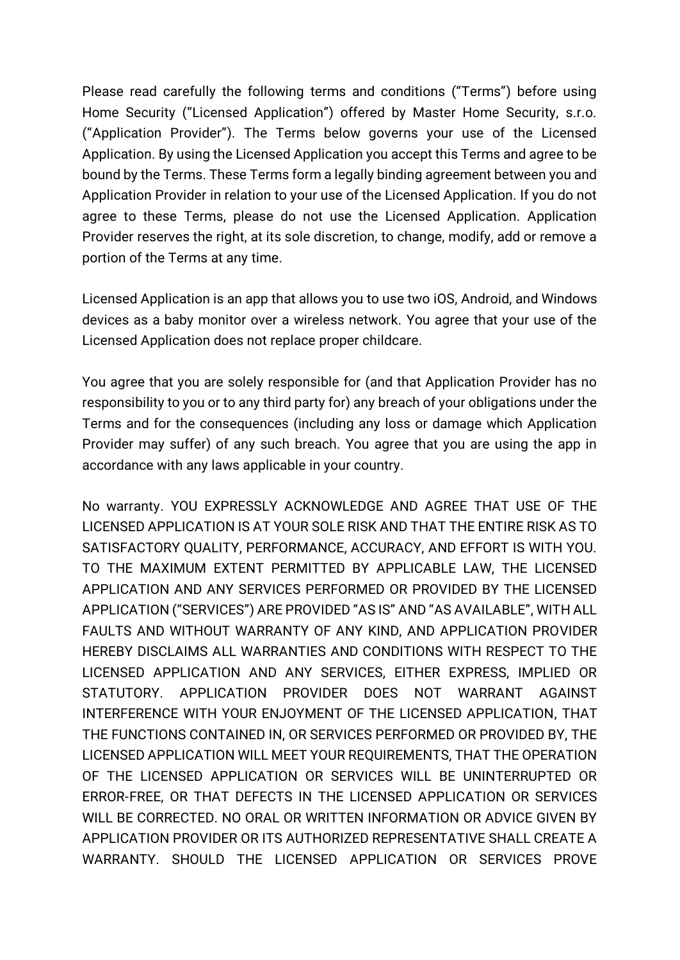Please read carefully the following terms and conditions ("Terms") before using Home Security ("Licensed Application") offered by Master Home Security, s.r.o. ("Application Provider"). The Terms below governs your use of the Licensed Application. By using the Licensed Application you accept this Terms and agree to be bound by the Terms. These Terms form a legally binding agreement between you and Application Provider in relation to your use of the Licensed Application. If you do not agree to these Terms, please do not use the Licensed Application. Application Provider reserves the right, at its sole discretion, to change, modify, add or remove a portion of the Terms at any time.

Licensed Application is an app that allows you to use two iOS, Android, and Windows devices as a baby monitor over a wireless network. You agree that your use of the Licensed Application does not replace proper childcare.

You agree that you are solely responsible for (and that Application Provider has no responsibility to you or to any third party for) any breach of your obligations under the Terms and for the consequences (including any loss or damage which Application Provider may suffer) of any such breach. You agree that you are using the app in accordance with any laws applicable in your country.

No warranty. YOU EXPRESSLY ACKNOWLEDGE AND AGREE THAT USE OF THE LICENSED APPLICATION IS AT YOUR SOLE RISK AND THAT THE ENTIRE RISK AS TO SATISFACTORY QUALITY, PERFORMANCE, ACCURACY, AND EFFORT IS WITH YOU. TO THE MAXIMUM EXTENT PERMITTED BY APPLICABLE LAW, THE LICENSED APPLICATION AND ANY SERVICES PERFORMED OR PROVIDED BY THE LICENSED APPLICATION ("SERVICES") ARE PROVIDED "AS IS" AND "AS AVAILABLE", WITH ALL FAULTS AND WITHOUT WARRANTY OF ANY KIND, AND APPLICATION PROVIDER HEREBY DISCLAIMS ALL WARRANTIES AND CONDITIONS WITH RESPECT TO THE LICENSED APPLICATION AND ANY SERVICES, EITHER EXPRESS, IMPLIED OR STATUTORY. APPLICATION PROVIDER DOES NOT WARRANT AGAINST INTERFERENCE WITH YOUR ENJOYMENT OF THE LICENSED APPLICATION, THAT THE FUNCTIONS CONTAINED IN, OR SERVICES PERFORMED OR PROVIDED BY, THE LICENSED APPLICATION WILL MEET YOUR REQUIREMENTS, THAT THE OPERATION OF THE LICENSED APPLICATION OR SERVICES WILL BE UNINTERRUPTED OR ERROR-FREE, OR THAT DEFECTS IN THE LICENSED APPLICATION OR SERVICES WILL BE CORRECTED. NO ORAL OR WRITTEN INFORMATION OR ADVICE GIVEN BY APPLICATION PROVIDER OR ITS AUTHORIZED REPRESENTATIVE SHALL CREATE A WARRANTY. SHOULD THE LICENSED APPLICATION OR SERVICES PROVE